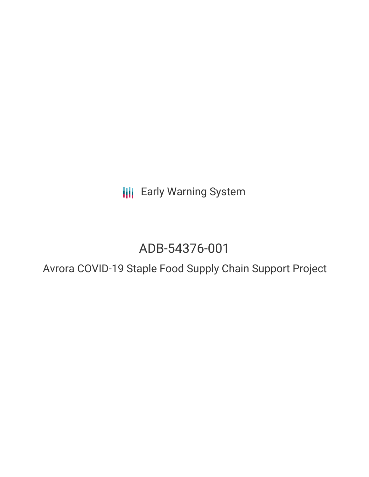**III** Early Warning System

# ADB-54376-001

### Avrora COVID-19 Staple Food Supply Chain Support Project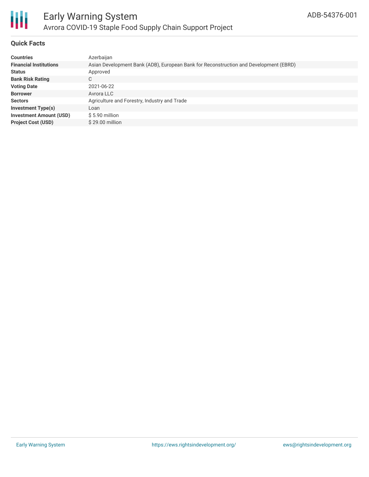

### **Quick Facts**

| <b>Countries</b>               | Azerbaijan                                                                            |
|--------------------------------|---------------------------------------------------------------------------------------|
| <b>Financial Institutions</b>  | Asian Development Bank (ADB), European Bank for Reconstruction and Development (EBRD) |
| <b>Status</b>                  | Approved                                                                              |
| <b>Bank Risk Rating</b>        | C                                                                                     |
| <b>Voting Date</b>             | 2021-06-22                                                                            |
| <b>Borrower</b>                | Avrora LLC                                                                            |
| <b>Sectors</b>                 | Agriculture and Forestry, Industry and Trade                                          |
| <b>Investment Type(s)</b>      | Loan                                                                                  |
| <b>Investment Amount (USD)</b> | $$5.90$ million                                                                       |
| <b>Project Cost (USD)</b>      | $$29.00$ million                                                                      |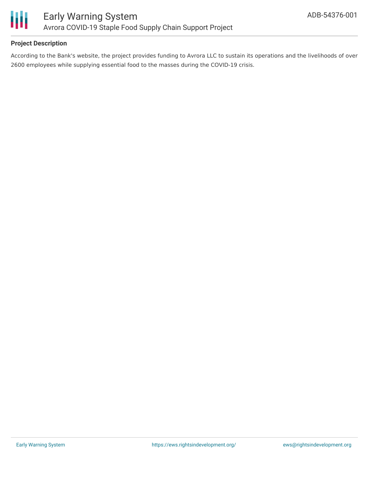

### **Project Description**

According to the Bank's website, the project provides funding to Avrora LLC to sustain its operations and the livelihoods of over 2600 employees while supplying essential food to the masses during the COVID-19 crisis.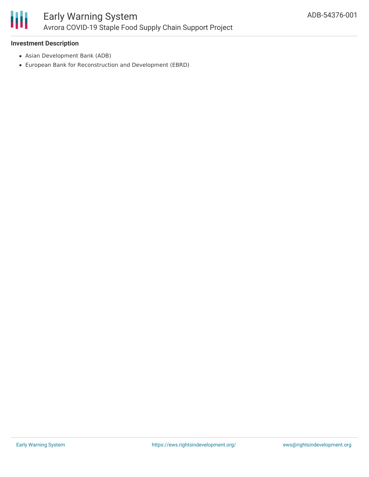

### **Investment Description**

- Asian Development Bank (ADB)
- European Bank for Reconstruction and Development (EBRD)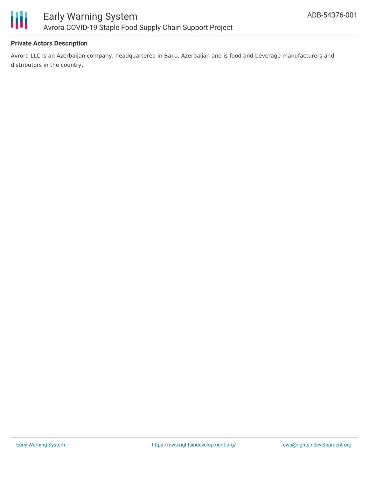

### **Private Actors Description**

Avrora LLC is an Azerbaijan company, headquartered in Baku, Azerbaijan and is food and beverage manufacturers and distributors in the country.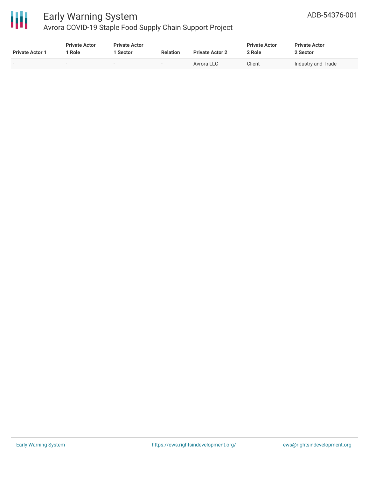

## Early Warning System

Avrora COVID-19 Staple Food Supply Chain Support Project

| <b>Private Actor 1</b>   | <b>Private Actor</b><br>Role | <b>Private Actor</b><br>l Sector | <b>Relation</b>          | <b>Private Actor 2</b> | <b>Private Actor</b><br>2 Role | <b>Private Actor</b><br>2 Sector |
|--------------------------|------------------------------|----------------------------------|--------------------------|------------------------|--------------------------------|----------------------------------|
| $\overline{\phantom{a}}$ | -                            | $\overline{\phantom{0}}$         | $\overline{\phantom{a}}$ | Avrora LLC             | Client                         | Industry and Trade               |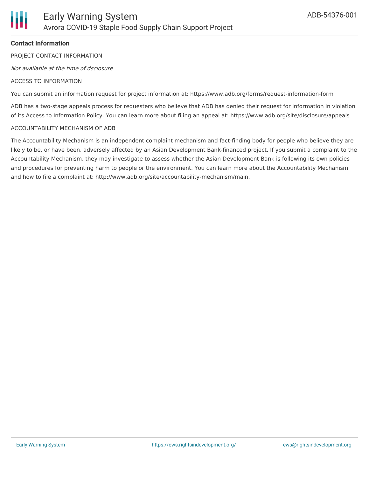### **Contact Information**

PROJECT CONTACT INFORMATION

Not available at the time of dsclosure

#### ACCESS TO INFORMATION

You can submit an information request for project information at: https://www.adb.org/forms/request-information-form

ADB has a two-stage appeals process for requesters who believe that ADB has denied their request for information in violation of its Access to Information Policy. You can learn more about filing an appeal at: https://www.adb.org/site/disclosure/appeals

#### ACCOUNTABILITY MECHANISM OF ADB

The Accountability Mechanism is an independent complaint mechanism and fact-finding body for people who believe they are likely to be, or have been, adversely affected by an Asian Development Bank-financed project. If you submit a complaint to the Accountability Mechanism, they may investigate to assess whether the Asian Development Bank is following its own policies and procedures for preventing harm to people or the environment. You can learn more about the Accountability Mechanism and how to file a complaint at: http://www.adb.org/site/accountability-mechanism/main.